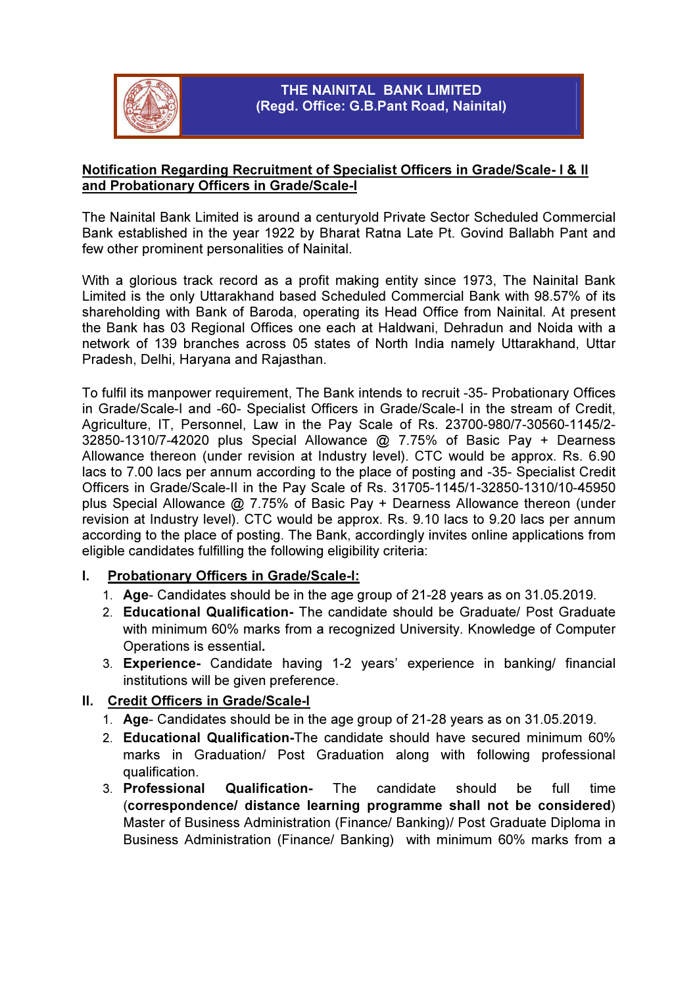

# THE NAINITAL BANK LIMITED (Regd. Office: G.B.Pant Road, Nainital)

# Notification Regarding Recruitment of Specialist Officers in Grade/Scale- I & II and Probationary Officers in Grade/Scale-I

The Nainital Bank Limited is around a centuryold Private Sector Scheduled Commercial Bank established in the year 1922 by Bharat Ratna Late Pt. Govind Ballabh Pant and few other prominent personalities of Nainital.

With a glorious track record as a profit making entity since 1973, The Nainital Bank Limited is the only Uttarakhand based Scheduled Commercial Bank with 98.57% of its shareholding with Bank of Baroda, operating its Head Office from Nainital. At present the Bank has 03 Regional Offices one each at Haldwani, Dehradun and Noida with a network of 139 branches across 05 states of North India namely Uttarakhand, Uttar Pradesh, Delhi, Haryana and Rajasthan.

To fulfil its manpower requirement, The Bank intends to recruit -35- Probationary Offices in Grade/Scale-I and -60- Specialist Officers in Grade/Scale-I in the stream of Credit, Agriculture, IT, Personnel, Law in the Pay Scale of Rs. 23700-980/7-30560-1145/2- 32850-1310/7-42020 plus Special Allowance @ 7.75% of Basic Pay + Dearness Allowance thereon (under revision at Industry level). CTC would be approx. Rs. 6.90 lacs to 7.00 lacs per annum according to the place of posting and -35- Specialist Credit Officers in Grade/Scale-II in the Pay Scale of Rs. 31705-1145/1-32850-1310/10-45950 plus Special Allowance @ 7.75% of Basic Pay + Dearness Allowance thereon (under revision at Industry level). CTC would be approx. Rs. 9.10 lacs to 9.20 lacs per annum according to the place of posting. The Bank, accordingly invites online applications from eligible candidates fulfilling the following eligibility criteria:

# I. Probationary Officers in Grade/Scale-I:

- 1. Age- Candidates should be in the age group of 21-28 years as on 31.05.2019.
- 2. Educational Qualification- The candidate should be Graduate/ Post Graduate with minimum 60% marks from a recognized University. Knowledge of Computer Operations is essential.
- 3. Experience- Candidate having 1-2 years' experience in banking/ financial institutions will be given preference.

# II. Credit Officers in Grade/Scale-I

- 1. Age- Candidates should be in the age group of 21-28 years as on 31.05.2019.
- 2. Educational Qualification-The candidate should have secured minimum 60% marks in Graduation/ Post Graduation along with following professional qualification.
- 3. Professional Qualification- The candidate should be full time (correspondence/ distance learning programme shall not be considered) Master of Business Administration (Finance/ Banking)/ Post Graduate Diploma in Business Administration (Finance/ Banking) with minimum 60% marks from a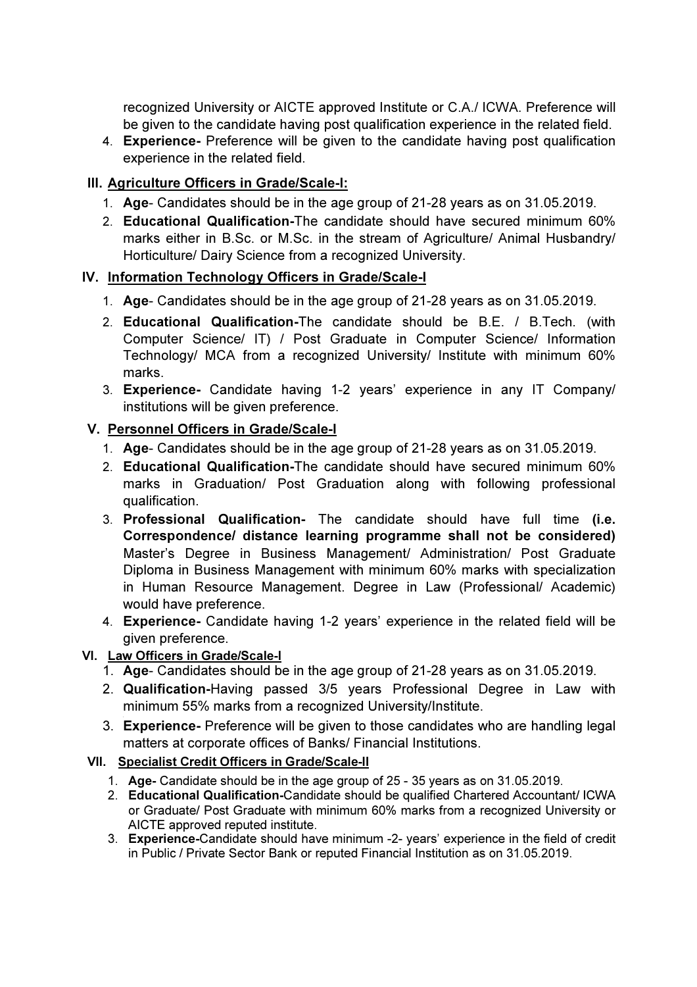recognized University or AICTE approved Institute or C.A./ ICWA. Preference will be given to the candidate having post qualification experience in the related field.

4. Experience- Preference will be given to the candidate having post qualification experience in the related field.

# III. Agriculture Officers in Grade/Scale-I:

- 1. Age- Candidates should be in the age group of 21-28 years as on 31.05.2019.
- 2. Educational Qualification-The candidate should have secured minimum 60% marks either in B.Sc. or M.Sc. in the stream of Agriculture/ Animal Husbandry/ Horticulture/ Dairy Science from a recognized University.

# IV. Information Technology Officers in Grade/Scale-I

- 1. Age- Candidates should be in the age group of 21-28 years as on 31.05.2019.
- 2. Educational Qualification-The candidate should be B.E. / B.Tech. (with Computer Science/ IT) / Post Graduate in Computer Science/ Information Technology/ MCA from a recognized University/ Institute with minimum 60% marks.
- 3. Experience- Candidate having 1-2 years' experience in any IT Company/ institutions will be given preference.

# V. Personnel Officers in Grade/Scale-I

- 1. Age- Candidates should be in the age group of 21-28 years as on 31.05.2019.
- 2. Educational Qualification-The candidate should have secured minimum 60% marks in Graduation/ Post Graduation along with following professional qualification.
- 3. Professional Qualification- The candidate should have full time (i.e. Correspondence/ distance learning programme shall not be considered) Master's Degree in Business Management/ Administration/ Post Graduate Diploma in Business Management with minimum 60% marks with specialization in Human Resource Management. Degree in Law (Professional/ Academic) would have preference.
- 4. Experience- Candidate having 1-2 years' experience in the related field will be given preference.

# VI. Law Officers in Grade/Scale-I

- 1. Age- Candidates should be in the age group of 21-28 years as on 31.05.2019.
- 2. Qualification-Having passed 3/5 years Professional Degree in Law with minimum 55% marks from a recognized University/Institute.
- 3. Experience- Preference will be given to those candidates who are handling legal matters at corporate offices of Banks/ Financial Institutions.

# VII. Specialist Credit Officers in Grade/Scale-II

- 1. Age- Candidate should be in the age group of 25 35 years as on 31.05.2019.
- 2. Educational Qualification-Candidate should be qualified Chartered Accountant/ ICWA or Graduate/ Post Graduate with minimum 60% marks from a recognized University or AICTE approved reputed institute.
- 3. Experience-Candidate should have minimum -2- years' experience in the field of credit in Public / Private Sector Bank or reputed Financial Institution as on 31.05.2019.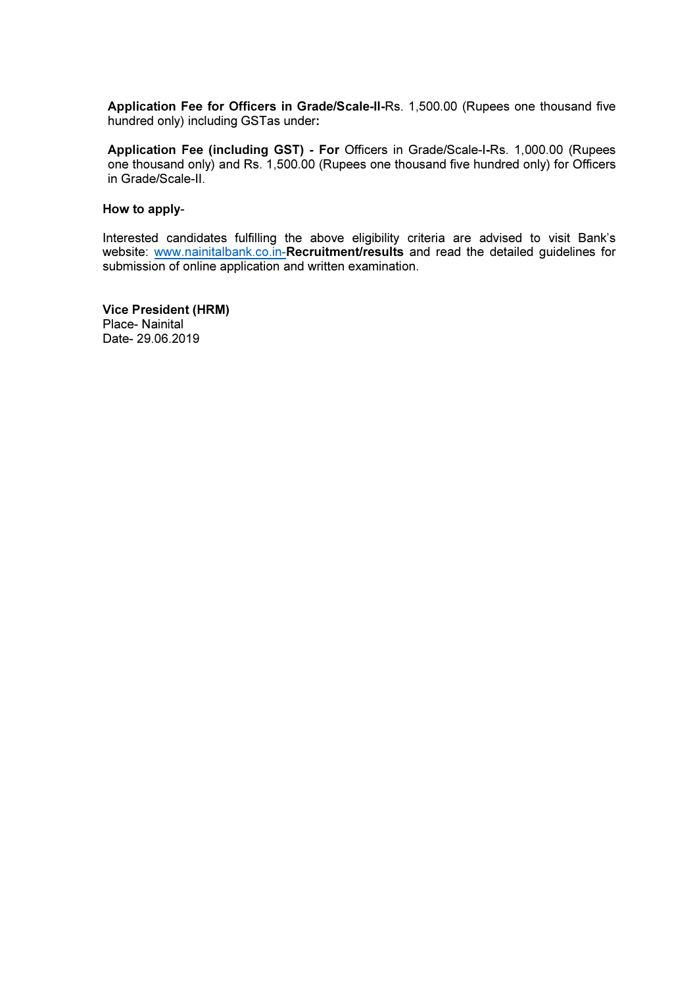Application Fee for Officers in Grade/Scale-II-Rs. 1,500.00 (Rupees one thousand five hundred only) including GSTas under:

Application Fee (including GST) - For Officers in Grade/Scale-I-Rs. 1,000.00 (Rupees one thousand only) and Rs. 1,500.00 (Rupees one thousand five hundred only) for Officers in Grade/Scale-II.

#### How to apply-

Interested candidates fulfilling the above eligibility criteria are advised to visit Bank's website: www.nainitalbank.co.in-Recruitment/results and read the detailed guidelines for submission of online application and written examination.

Vice President (HRM) Place- Nainital Date- 29.06.2019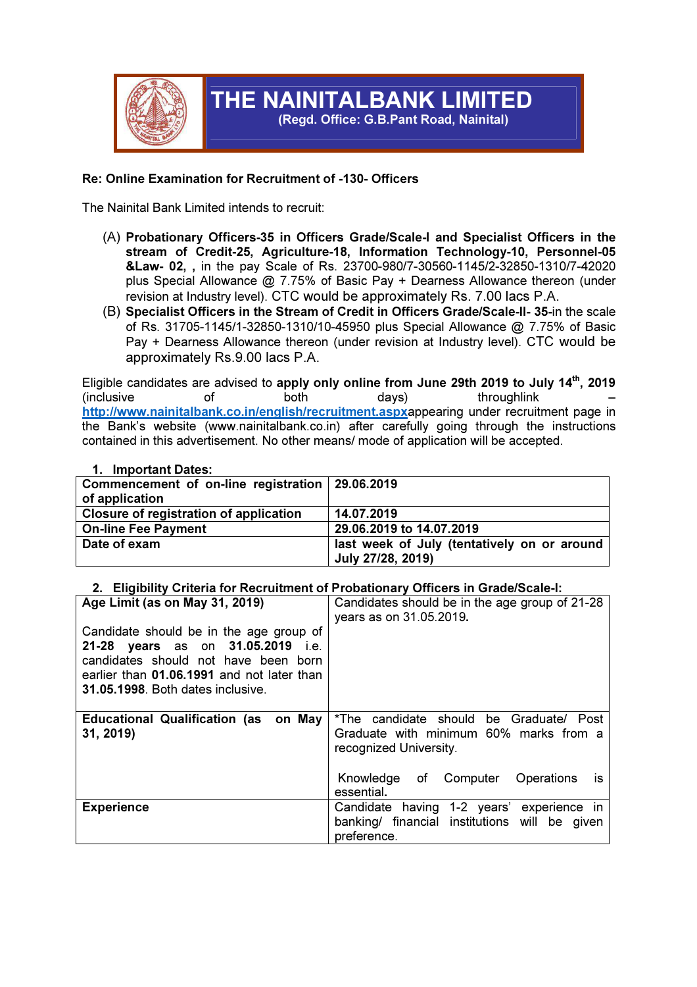

# THE NAINITALBANK LIMITED

(Regd. Office: G.B.Pant Road, Nainital)

## Re: Online Examination for Recruitment of -130- Officers

The Nainital Bank Limited intends to recruit:

- (A) Probationary Officers-35 in Officers Grade/Scale-I and Specialist Officers in the stream of Credit-25, Agriculture-18, Information Technology-10, Personnel-05 &Law- 02, , in the pay Scale of Rs. 23700-980/7-30560-1145/2-32850-1310/7-42020 plus Special Allowance @ 7.75% of Basic Pay + Dearness Allowance thereon (under revision at Industry level). CTC would be approximately Rs. 7.00 lacs P.A.
- (B) Specialist Officers in the Stream of Credit in Officers Grade/Scale-II- 35-in the scale of Rs. 31705-1145/1-32850-1310/10-45950 plus Special Allowance @ 7.75% of Basic Pay + Dearness Allowance thereon (under revision at Industry level). CTC would be approximately Rs.9.00 lacs P.A.

Eligible candidates are advised to apply only online from June 29th 2019 to July 14<sup>th</sup>, 2019 (inclusive of both days) throughlink – http://www.nainitalbank.co.in/english/recruitment.aspxappearing under recruitment page in the Bank's website (www.nainitalbank.co.in) after carefully going through the instructions contained in this advertisement. No other means/ mode of application will be accepted.

| $\blacksquare$                                    |                                             |
|---------------------------------------------------|---------------------------------------------|
| Commencement of on-line registration   29.06.2019 |                                             |
| of application                                    |                                             |
| Closure of registration of application            | 14.07.2019                                  |
| <b>On-line Fee Payment</b>                        | 29.06.2019 to 14.07.2019                    |
| Date of exam                                      | last week of July (tentatively on or around |
|                                                   | July 27/28, 2019)                           |

## 1. Important Dates:

#### 2. Eligibility Criteria for Recruitment of Probationary Officers in Grade/Scale-I:

| Age Limit (as on May 31, 2019)<br>Candidate should be in the age group of<br>21-28 years as on 31.05.2019 i.e.<br>candidates should not have been born<br>earlier than 01.06.1991 and not later than | Candidates should be in the age group of 21-28<br>years as on 31.05.2019.                                    |
|------------------------------------------------------------------------------------------------------------------------------------------------------------------------------------------------------|--------------------------------------------------------------------------------------------------------------|
| 31.05.1998. Both dates inclusive.                                                                                                                                                                    |                                                                                                              |
| <b>Educational Qualification (as on May</b><br>31, 2019)                                                                                                                                             | *The candidate should be Graduate/ Post<br>Graduate with minimum 60% marks from a<br>recognized University.  |
|                                                                                                                                                                                                      | of Computer<br><b>Operations</b><br>Knowledge<br>İS<br>essential.                                            |
| <b>Experience</b>                                                                                                                                                                                    | having 1-2 years' experience in<br>Candidate<br>banking/ financial institutions will be given<br>preference. |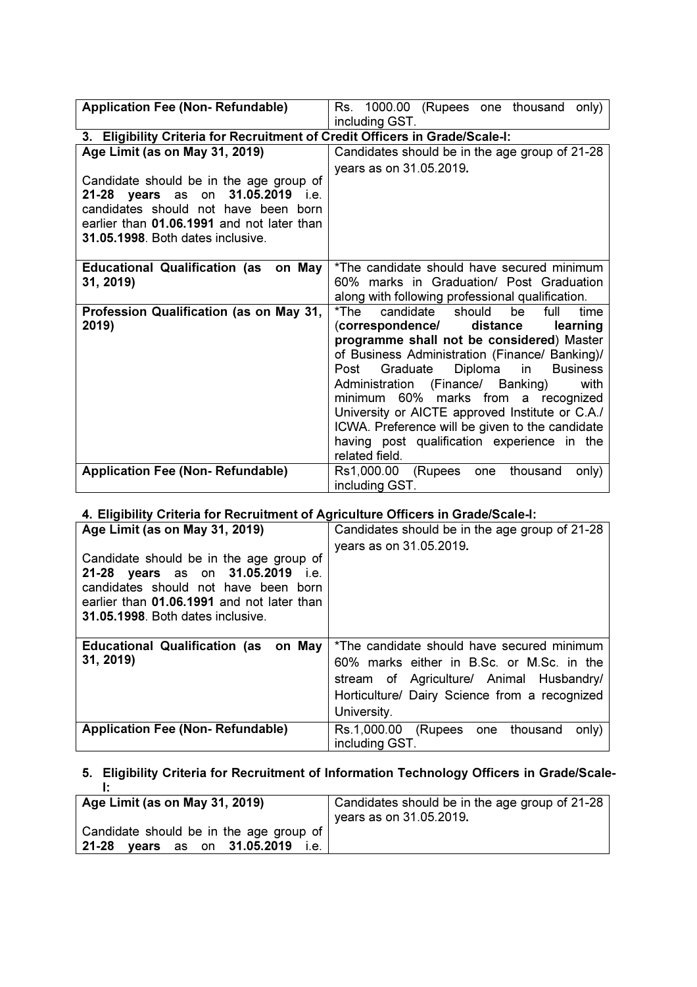| <b>Application Fee (Non- Refundable)</b>                                                                                                                                                                          | Rs. 1000.00<br>(Rupees one thousand<br>only)<br>including GST.                                                                                                                                                                                                                                                                                                                                                                                                                                               |  |  |  |  |
|-------------------------------------------------------------------------------------------------------------------------------------------------------------------------------------------------------------------|--------------------------------------------------------------------------------------------------------------------------------------------------------------------------------------------------------------------------------------------------------------------------------------------------------------------------------------------------------------------------------------------------------------------------------------------------------------------------------------------------------------|--|--|--|--|
| 3. Eligibility Criteria for Recruitment of Credit Officers in Grade/Scale-I:                                                                                                                                      |                                                                                                                                                                                                                                                                                                                                                                                                                                                                                                              |  |  |  |  |
| Age Limit (as on May 31, 2019)                                                                                                                                                                                    | Candidates should be in the age group of 21-28                                                                                                                                                                                                                                                                                                                                                                                                                                                               |  |  |  |  |
| Candidate should be in the age group of<br>31.05.2019 i.e.<br><b>21-28 years</b> as on<br>candidates should not have been born<br>earlier than 01.06.1991 and not later than<br>31.05.1998. Both dates inclusive. | years as on 31.05.2019.                                                                                                                                                                                                                                                                                                                                                                                                                                                                                      |  |  |  |  |
| <b>Educational Qualification (as</b><br>on May<br>31, 2019)                                                                                                                                                       | *The candidate should have secured minimum<br>60% marks in Graduation/ Post Graduation<br>along with following professional qualification.                                                                                                                                                                                                                                                                                                                                                                   |  |  |  |  |
| Profession Qualification (as on May 31,<br>2019)                                                                                                                                                                  | candidate<br>*The<br>should<br>full<br>be<br>time<br>(correspondence/<br>distance<br>learning<br>programme shall not be considered) Master<br>of Business Administration (Finance/ Banking)/<br>Diploma in<br>Graduate<br><b>Business</b><br>Post<br>Administration (Finance/ Banking)<br>with<br>minimum 60% marks from a recognized<br>University or AICTE approved Institute or C.A./<br>ICWA. Preference will be given to the candidate<br>having post qualification experience in the<br>related field. |  |  |  |  |
| <b>Application Fee (Non- Refundable)</b>                                                                                                                                                                          | Rs1,000.00<br>thousand<br>(Rupees<br>one<br>only)<br>including GST.                                                                                                                                                                                                                                                                                                                                                                                                                                          |  |  |  |  |

## 4. Eligibility Criteria for Recruitment of Agriculture Officers in Grade/Scale-I:

| Age Limit (as on May 31, 2019)<br>Candidate should be in the age group of<br>21-28 years as on 31.05.2019<br>i.e.<br>candidates should not have been born<br>earlier than 01.06.1991 and not later than<br>31.05.1998. Both dates inclusive. | Candidates should be in the age group of 21-28<br>years as on 31.05.2019.                                                                                                                           |
|----------------------------------------------------------------------------------------------------------------------------------------------------------------------------------------------------------------------------------------------|-----------------------------------------------------------------------------------------------------------------------------------------------------------------------------------------------------|
| <b>Educational Qualification (as on May</b><br>31, 2019)                                                                                                                                                                                     | *The candidate should have secured minimum<br>60% marks either in B.Sc. or M.Sc. in the<br>stream of Agriculture/ Animal Husbandry/<br>Horticulture/ Dairy Science from a recognized<br>University. |
| <b>Application Fee (Non- Refundable)</b>                                                                                                                                                                                                     | Rs.1,000.00 (Rupees one<br>thousand<br>only)<br>including GST.                                                                                                                                      |

# 5. Eligibility Criteria for Recruitment of Information Technology Officers in Grade/Scale-

| Age Limit (as on May 31, 2019)          | Candidates should be in the age group of 21-28 |
|-----------------------------------------|------------------------------------------------|
|                                         | years as on 31.05.2019.                        |
| Candidate should be in the age group of |                                                |
| $21 - 28$<br>vears as on 31.05.2019     |                                                |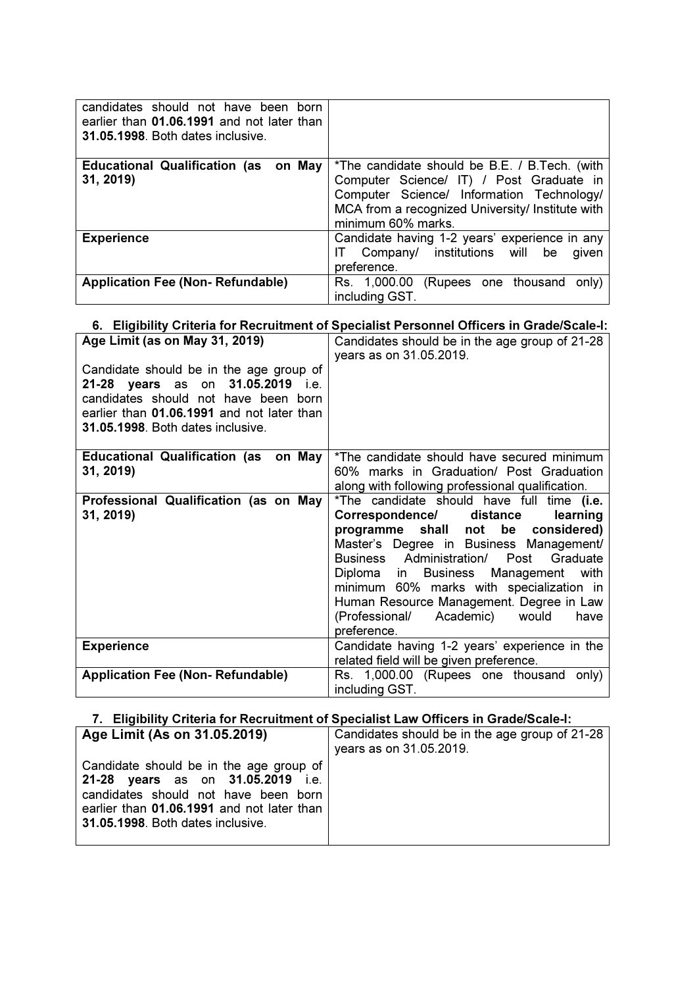| candidates should not have been born<br>earlier than 01.06.1991 and not later than<br>31.05.1998. Both dates inclusive. |                                                                                                                                                                                                                  |
|-------------------------------------------------------------------------------------------------------------------------|------------------------------------------------------------------------------------------------------------------------------------------------------------------------------------------------------------------|
| <b>Educational Qualification (as</b><br>on May<br>31, 2019)                                                             | *The candidate should be B.E. / B.Tech. (with<br>Computer Science/ IT) / Post Graduate in<br>Computer Science/ Information Technology/<br>MCA from a recognized University/ Institute with<br>minimum 60% marks. |
| <b>Experience</b>                                                                                                       | Candidate having 1-2 years' experience in any<br>Company/ institutions will<br>be<br>given<br>preference.                                                                                                        |
| <b>Application Fee (Non-Refundable)</b>                                                                                 | Rs. 1,000.00<br>(Rupees one thousand<br>only)<br>including GST.                                                                                                                                                  |

## 6. Eligibility Criteria for Recruitment of Specialist Personnel Officers in Grade/Scale-I:

| Age Limit (as on May 31, 2019)<br>Candidate should be in the age group of<br>21-28 years as on 31.05.2019 i.e.<br>candidates should not have been born<br>earlier than 01.06.1991 and not later than<br>31.05.1998. Both dates inclusive. | Candidates should be in the age group of 21-28<br>years as on 31.05.2019.                                                                                                                                                                                                                                                                                                                                      |
|-------------------------------------------------------------------------------------------------------------------------------------------------------------------------------------------------------------------------------------------|----------------------------------------------------------------------------------------------------------------------------------------------------------------------------------------------------------------------------------------------------------------------------------------------------------------------------------------------------------------------------------------------------------------|
| on May<br><b>Educational Qualification (as</b><br>31, 2019)                                                                                                                                                                               | *The candidate should have secured minimum<br>60% marks in Graduation/ Post Graduation<br>along with following professional qualification.                                                                                                                                                                                                                                                                     |
| Professional Qualification (as on May<br>31, 2019)                                                                                                                                                                                        | *The candidate should have full time (i.e.<br>Correspondence/ distance<br>learning<br>programme shall not<br>be<br>considered)<br>Master's Degree in Business Management/<br>Business Administration/ Post Graduate<br>Diploma in Business Management with<br>minimum 60% marks with specialization in<br>Human Resource Management. Degree in Law<br>(Professional/ Academic)<br>would<br>have<br>preference. |
| <b>Experience</b>                                                                                                                                                                                                                         | Candidate having 1-2 years' experience in the<br>related field will be given preference.                                                                                                                                                                                                                                                                                                                       |
| <b>Application Fee (Non-Refundable)</b>                                                                                                                                                                                                   | Rs. 1,000.00 (Rupees one thousand only)<br>including GST.                                                                                                                                                                                                                                                                                                                                                      |

# 7. Eligibility Criteria for Recruitment of Specialist Law Officers in Grade/Scale-I:

| Age Limit (As on 31.05.2019)                                                                                                                                                                            | Candidates should be in the age group of 21-28<br>years as on 31.05.2019. |
|---------------------------------------------------------------------------------------------------------------------------------------------------------------------------------------------------------|---------------------------------------------------------------------------|
| Candidate should be in the age group of<br>21-28 years as on 31.05.2019 i.e.<br>candidates should not have been born<br>earlier than 01.06.1991 and not later than<br>31.05.1998. Both dates inclusive. |                                                                           |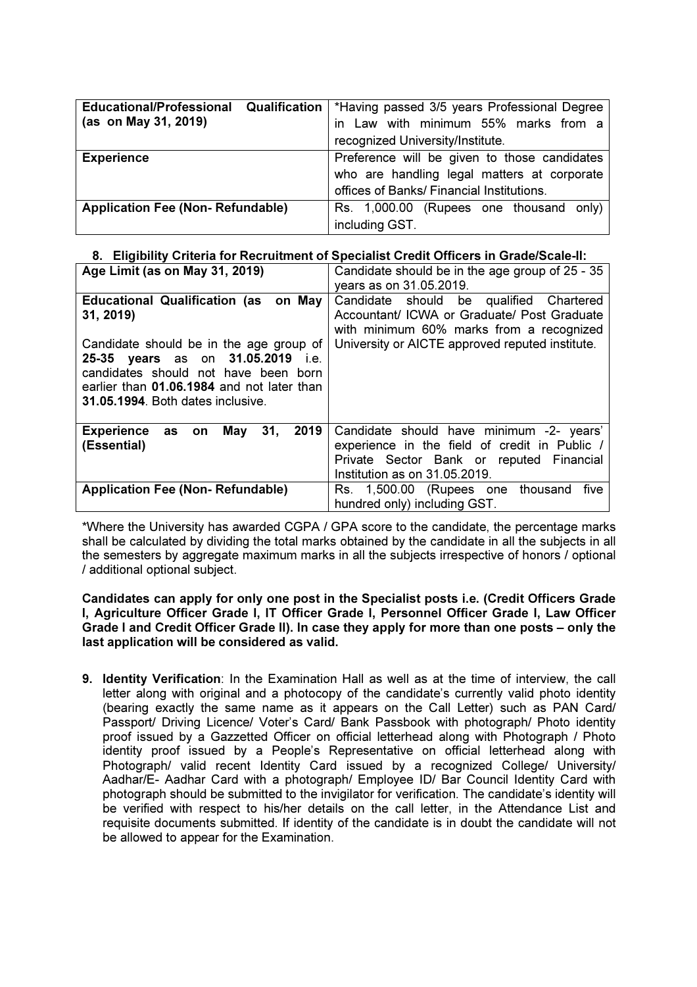| <b>Educational/Professional</b><br>Qualification<br>(as on May 31, 2019) | *Having passed 3/5 years Professional Degree<br>in Law with minimum 55% marks from a<br>recognized University/Institute.                 |  |  |  |  |  |
|--------------------------------------------------------------------------|------------------------------------------------------------------------------------------------------------------------------------------|--|--|--|--|--|
| <b>Experience</b>                                                        | Preference will be given to those candidates<br>who are handling legal matters at corporate<br>offices of Banks/ Financial Institutions. |  |  |  |  |  |
| <b>Application Fee (Non-Refundable)</b>                                  | Rs. 1,000.00 (Rupees one thousand only)<br>including GST.                                                                                |  |  |  |  |  |

## 8. Eligibility Criteria for Recruitment of Specialist Credit Officers in Grade/Scale-II:

| Age Limit (as on May 31, 2019)                                                                                                                                                                                                                                         | Candidate should be in the age group of 25 - 35<br>years as on 31.05.2019.                                                                                                            |  |  |  |
|------------------------------------------------------------------------------------------------------------------------------------------------------------------------------------------------------------------------------------------------------------------------|---------------------------------------------------------------------------------------------------------------------------------------------------------------------------------------|--|--|--|
| on May<br><b>Educational Qualification (as</b><br>31, 2019)<br>Candidate should be in the age group of<br>25-35 years as on 31.05.2019 i.e.<br>candidates should not have been born<br>earlier than 01.06.1984 and not later than<br>31.05.1994. Both dates inclusive. | Candidate should be qualified Chartered<br>Accountant/ ICWA or Graduate/ Post Graduate<br>with minimum 60% marks from a recognized<br>University or AICTE approved reputed institute. |  |  |  |
| 31,<br>2019<br>May<br>Experience as on<br>(Essential)                                                                                                                                                                                                                  | Candidate should have minimum -2- years'<br>experience in the field of credit in Public /<br>Private Sector Bank or reputed Financial<br>Institution as on 31.05.2019.                |  |  |  |
| <b>Application Fee (Non-Refundable)</b>                                                                                                                                                                                                                                | Rs. 1,500.00 (Rupees one thousand<br>five<br>hundred only) including GST.                                                                                                             |  |  |  |

\*Where the University has awarded CGPA / GPA score to the candidate, the percentage marks shall be calculated by dividing the total marks obtained by the candidate in all the subjects in all the semesters by aggregate maximum marks in all the subjects irrespective of honors / optional / additional optional subject.

Candidates can apply for only one post in the Specialist posts i.e. (Credit Officers Grade I, Agriculture Officer Grade I, IT Officer Grade I, Personnel Officer Grade I, Law Officer Grade I and Credit Officer Grade II). In case they apply for more than one posts – only the last application will be considered as valid.

9. Identity Verification: In the Examination Hall as well as at the time of interview, the call letter along with original and a photocopy of the candidate's currently valid photo identity (bearing exactly the same name as it appears on the Call Letter) such as PAN Card/ Passport/ Driving Licence/ Voter's Card/ Bank Passbook with photograph/ Photo identity proof issued by a Gazzetted Officer on official letterhead along with Photograph / Photo identity proof issued by a People's Representative on official letterhead along with Photograph/ valid recent Identity Card issued by a recognized College/ University/ Aadhar/E- Aadhar Card with a photograph/ Employee ID/ Bar Council Identity Card with photograph should be submitted to the invigilator for verification. The candidate's identity will be verified with respect to his/her details on the call letter, in the Attendance List and requisite documents submitted. If identity of the candidate is in doubt the candidate will not be allowed to appear for the Examination.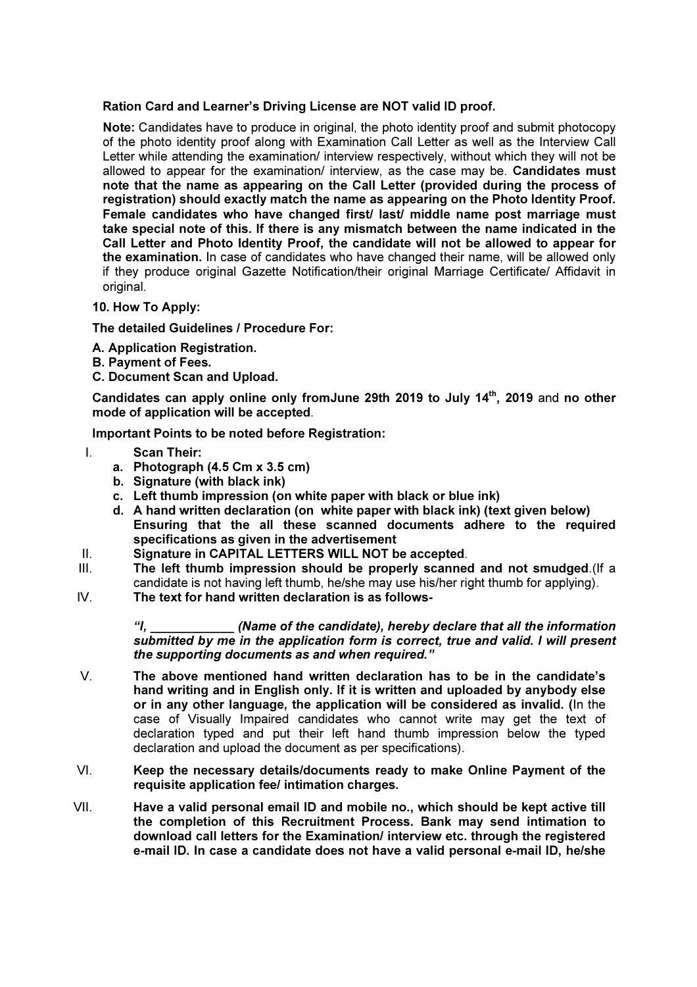#### Ration Card and Learner's Driving License are NOT valid ID proof.

 Note: Candidates have to produce in original, the photo identity proof and submit photocopy of the photo identity proof along with Examination Call Letter as well as the Interview Call Letter while attending the examination/ interview respectively, without which they will not be allowed to appear for the examination/ interview, as the case may be. Candidates must note that the name as appearing on the Call Letter (provided during the process of registration) should exactly match the name as appearing on the Photo Identity Proof. Female candidates who have changed first/ last/ middle name post marriage must take special note of this. If there is any mismatch between the name indicated in the Call Letter and Photo Identity Proof, the candidate will not be allowed to appear for the examination. In case of candidates who have changed their name, will be allowed only if they produce original Gazette Notification/their original Marriage Certificate/ Affidavit in original.

#### 10. How To Apply:

The detailed Guidelines / Procedure For:

- A. Application Registration.
- B. Payment of Fees.
- C. Document Scan and Upload.

Candidates can apply online only fromJune 29th 2019 to July 14<sup>th</sup>, 2019 and no other mode of application will be accepted.

Important Points to be noted before Registration:

- I. Scan Their:
	- a. Photograph (4.5 Cm x 3.5 cm)
	- b. Signature (with black ink)
	- c. Left thumb impression (on white paper with black or blue ink)
	- d. A hand written declaration (on white paper with black ink) (text given below) Ensuring that the all these scanned documents adhere to the required specifications as given in the advertisement
- II. Signature in CAPITAL LETTERS WILL NOT be accepted.
- III. The left thumb impression should be properly scanned and not smudged.(If a candidate is not having left thumb, he/she may use his/her right thumb for applying).
- IV. The text for hand written declaration is as follows-

"I, \_\_\_\_\_\_\_\_\_\_\_\_ (Name of the candidate), hereby declare that all the information submitted by me in the application form is correct, true and valid. I will present the supporting documents as and when required."

- V. The above mentioned hand written declaration has to be in the candidate's hand writing and in English only. If it is written and uploaded by anybody else or in any other language, the application will be considered as invalid. (In the case of Visually Impaired candidates who cannot write may get the text of declaration typed and put their left hand thumb impression below the typed declaration and upload the document as per specifications).
- VI. Keep the necessary details/documents ready to make Online Payment of the requisite application fee/ intimation charges.
- VII. Have a valid personal email ID and mobile no., which should be kept active till the completion of this Recruitment Process. Bank may send intimation to download call letters for the Examination/ interview etc. through the registered e-mail ID. In case a candidate does not have a valid personal e-mail ID, he/she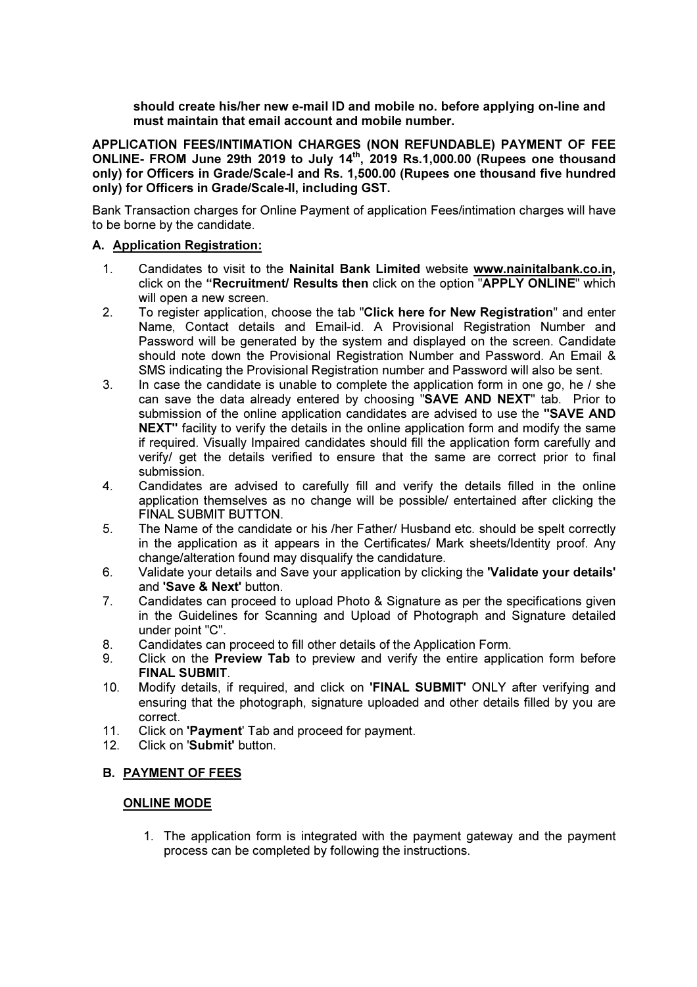should create his/her new e-mail ID and mobile no. before applying on-line and must maintain that email account and mobile number.

APPLICATION FEES/INTIMATION CHARGES (NON REFUNDABLE) PAYMENT OF FEE ONLINE- FROM June 29th 2019 to July 14<sup>th</sup>, 2019 Rs.1,000.00 (Rupees one thousand only) for Officers in Grade/Scale-I and Rs. 1,500.00 (Rupees one thousand five hundred only) for Officers in Grade/Scale-II, including GST.

Bank Transaction charges for Online Payment of application Fees/intimation charges will have to be borne by the candidate.

#### A. Application Registration:

- 1. Candidates to visit to the Nainital Bank Limited website www.nainitalbank.co.in, click on the "Recruitment/ Results then click on the option "APPLY ONLINE" which will open a new screen.
- 2. To register application, choose the tab "Click here for New Registration" and enter Name, Contact details and Email-id. A Provisional Registration Number and Password will be generated by the system and displayed on the screen. Candidate should note down the Provisional Registration Number and Password. An Email & SMS indicating the Provisional Registration number and Password will also be sent.
- 3. In case the candidate is unable to complete the application form in one go, he / she can save the data already entered by choosing "SAVE AND NEXT" tab. Prior to submission of the online application candidates are advised to use the "SAVE AND NEXT" facility to verify the details in the online application form and modify the same if required. Visually Impaired candidates should fill the application form carefully and verify/ get the details verified to ensure that the same are correct prior to final submission.
- 4. Candidates are advised to carefully fill and verify the details filled in the online application themselves as no change will be possible/ entertained after clicking the FINAL SUBMIT BUTTON.
- 5. The Name of the candidate or his /her Father/ Husband etc. should be spelt correctly in the application as it appears in the Certificates/ Mark sheets/Identity proof. Any change/alteration found may disqualify the candidature.
- 6. Validate your details and Save your application by clicking the 'Validate your details' and 'Save & Next' button.
- 7. Candidates can proceed to upload Photo & Signature as per the specifications given in the Guidelines for Scanning and Upload of Photograph and Signature detailed under point "C".
- 8. Candidates can proceed to fill other details of the Application Form.
- 9. Click on the Preview Tab to preview and verify the entire application form before FINAL SUBMIT.
- 10. Modify details, if required, and click on 'FINAL SUBMIT' ONLY after verifying and ensuring that the photograph, signature uploaded and other details filled by you are correct.
- 11. Click on 'Payment' Tab and proceed for payment.
- 12. Click on 'Submit' button.

## B. PAYMENT OF FEES

#### ONLINE MODE

1. The application form is integrated with the payment gateway and the payment process can be completed by following the instructions.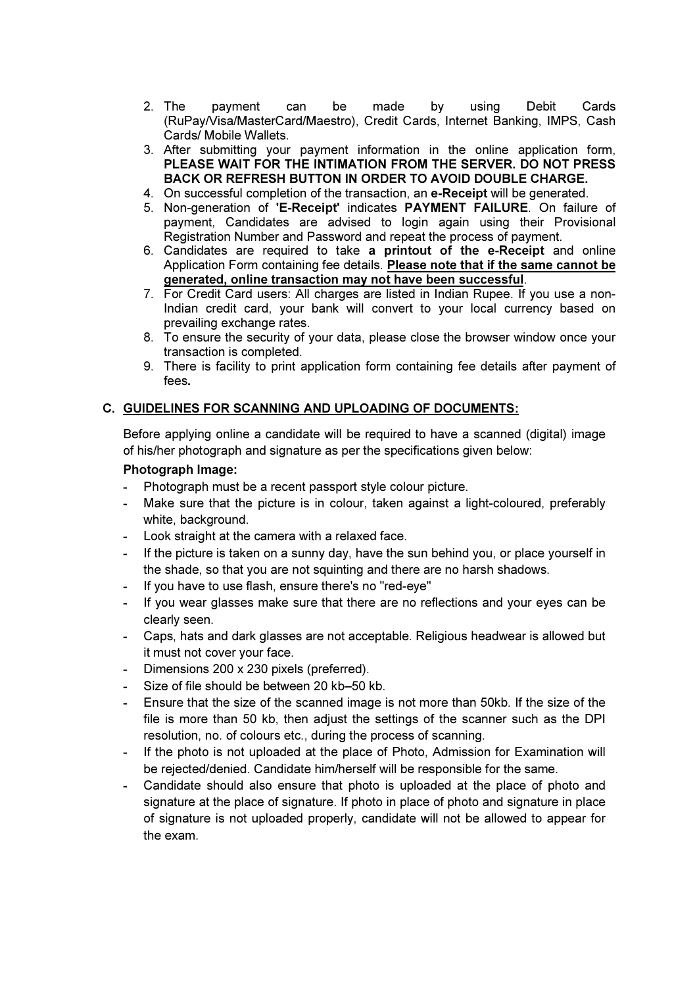- 2. The payment can be made by using Debit Cards (RuPay/Visa/MasterCard/Maestro), Credit Cards, Internet Banking, IMPS, Cash Cards/ Mobile Wallets.
- 3. After submitting your payment information in the online application form, PLEASE WAIT FOR THE INTIMATION FROM THE SERVER. DO NOT PRESS BACK OR REFRESH BUTTON IN ORDER TO AVOID DOUBLE CHARGE.
- 4. On successful completion of the transaction, an e-Receipt will be generated.
- 5. Non-generation of 'E-Receipt' indicates PAYMENT FAILURE. On failure of payment, Candidates are advised to login again using their Provisional Registration Number and Password and repeat the process of payment.
- 6. Candidates are required to take a printout of the e-Receipt and online Application Form containing fee details. Please note that if the same cannot be generated, online transaction may not have been successful.
- 7. For Credit Card users: All charges are listed in Indian Rupee. If you use a non-Indian credit card, your bank will convert to your local currency based on prevailing exchange rates.
- 8. To ensure the security of your data, please close the browser window once your transaction is completed.
- 9. There is facility to print application form containing fee details after payment of fees.

## C. GUIDELINES FOR SCANNING AND UPLOADING OF DOCUMENTS:

Before applying online a candidate will be required to have a scanned (digital) image of his/her photograph and signature as per the specifications given below:

#### Photograph Image:

- Photograph must be a recent passport style colour picture.
- Make sure that the picture is in colour, taken against a light-coloured, preferably white, background.
- Look straight at the camera with a relaxed face.
- If the picture is taken on a sunny day, have the sun behind you, or place yourself in the shade, so that you are not squinting and there are no harsh shadows.
- If you have to use flash, ensure there's no "red-eye"
- If you wear glasses make sure that there are no reflections and your eyes can be clearly seen.
- Caps, hats and dark glasses are not acceptable. Religious headwear is allowed but it must not cover your face.
- Dimensions 200 x 230 pixels (preferred).
- Size of file should be between 20 kb–50 kb.
- Ensure that the size of the scanned image is not more than 50kb. If the size of the file is more than 50 kb, then adjust the settings of the scanner such as the DPI resolution, no. of colours etc., during the process of scanning.
- If the photo is not uploaded at the place of Photo, Admission for Examination will be rejected/denied. Candidate him/herself will be responsible for the same.
- Candidate should also ensure that photo is uploaded at the place of photo and signature at the place of signature. If photo in place of photo and signature in place of signature is not uploaded properly, candidate will not be allowed to appear for the exam.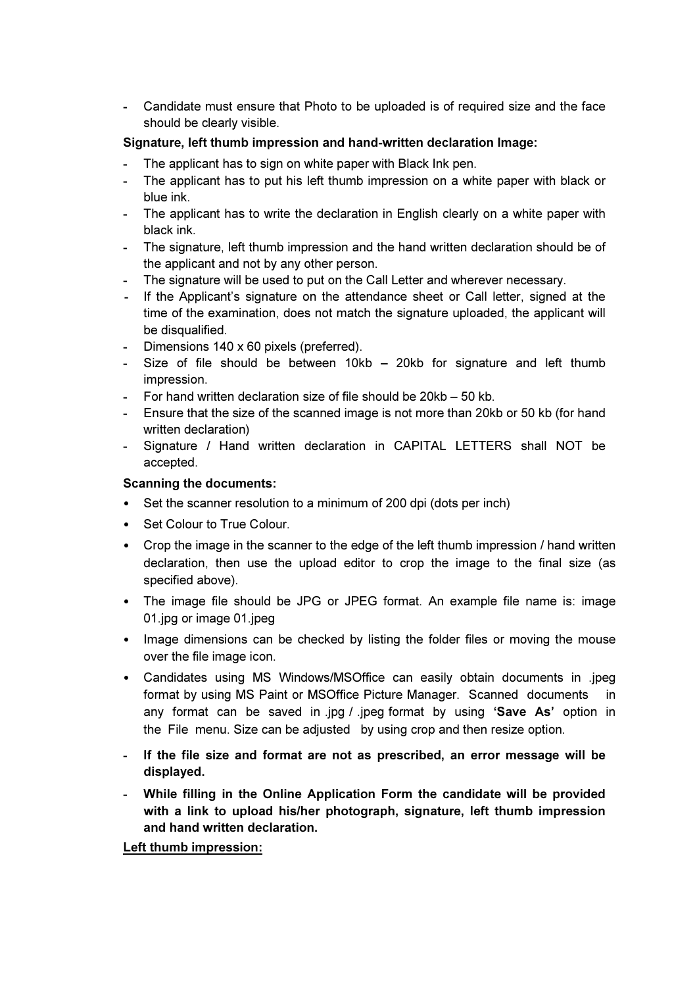- Candidate must ensure that Photo to be uploaded is of required size and the face should be clearly visible.

## Signature, left thumb impression and hand-written declaration Image:

- The applicant has to sign on white paper with Black Ink pen.
- The applicant has to put his left thumb impression on a white paper with black or blue ink.
- The applicant has to write the declaration in English clearly on a white paper with black ink.
- The signature, left thumb impression and the hand written declaration should be of the applicant and not by any other person.
- The signature will be used to put on the Call Letter and wherever necessary.
- If the Applicant's signature on the attendance sheet or Call letter, signed at the time of the examination, does not match the signature uploaded, the applicant will be disqualified.
- Dimensions 140 x 60 pixels (preferred).
- Size of file should be between 10kb 20kb for signature and left thumb impression.
- For hand written declaration size of file should be 20kb 50 kb.
- Ensure that the size of the scanned image is not more than 20kb or 50 kb (for hand written declaration)
- Signature / Hand written declaration in CAPITAL LETTERS shall NOT be accepted.

## Scanning the documents:

- Set the scanner resolution to a minimum of 200 dpi (dots per inch)
- Set Colour to True Colour.
- Crop the image in the scanner to the edge of the left thumb impression / hand written declaration, then use the upload editor to crop the image to the final size (as specified above).
- The image file should be JPG or JPEG format. An example file name is: image 01.jpg or image 01.jpeg
- Image dimensions can be checked by listing the folder files or moving the mouse over the file image icon.
- Candidates using MS Windows/MSOffice can easily obtain documents in .jpeg format by using MS Paint or MSOffice Picture Manager. Scanned documents in any format can be saved in .jpg / .jpeg format by using 'Save As' option in the File menu. Size can be adjusted by using crop and then resize option.
- If the file size and format are not as prescribed, an error message will be displayed.
- While filling in the Online Application Form the candidate will be provided with a link to upload his/her photograph, signature, left thumb impression and hand written declaration.

## Left thumb impression: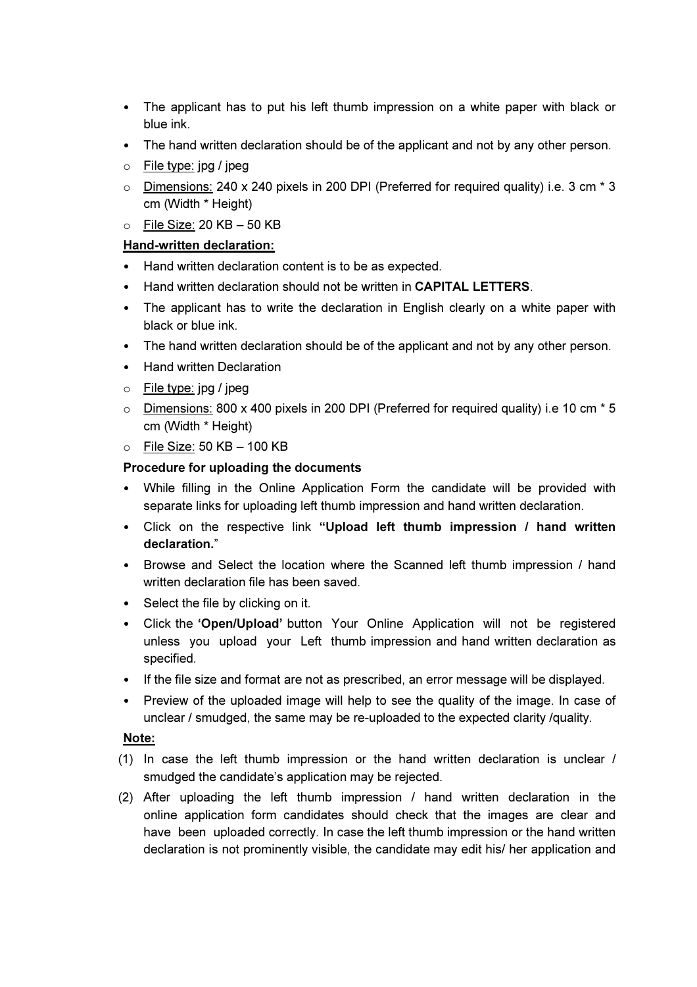- The applicant has to put his left thumb impression on a white paper with black or blue ink.
- The hand written declaration should be of the applicant and not by any other person.
- o File type: jpg / jpeg
- o Dimensions: 240 x 240 pixels in 200 DPI (Preferred for required quality) i.e. 3 cm \* 3 cm (Width \* Height)
- $\circ$  File Size: 20 KB 50 KB

## Hand-written declaration:

- Hand written declaration content is to be as expected.
- Hand written declaration should not be written in **CAPITAL LETTERS**.
- The applicant has to write the declaration in English clearly on a white paper with black or blue ink.
- The hand written declaration should be of the applicant and not by any other person.
- Hand written Declaration
- o File type: jpg / jpeg
- $\circ$  Dimensions: 800 x 400 pixels in 200 DPI (Preferred for required quality) i.e 10 cm  $*$  5 cm (Width \* Height)
- $\circ$  File Size: 50 KB 100 KB

## Procedure for uploading the documents

- While filling in the Online Application Form the candidate will be provided with separate links for uploading left thumb impression and hand written declaration.
- Click on the respective link "Upload left thumb impression / hand written declaration."
- Browse and Select the location where the Scanned left thumb impression / hand written declaration file has been saved.
- Select the file by clicking on it.
- Click the 'Open/Upload' button Your Online Application will not be registered unless you upload your Left thumb impression and hand written declaration as specified.
- If the file size and format are not as prescribed, an error message will be displayed.
- Preview of the uploaded image will help to see the quality of the image. In case of unclear / smudged, the same may be re-uploaded to the expected clarity /quality.

## Note:

- (1) In case the left thumb impression or the hand written declaration is unclear / smudged the candidate's application may be rejected.
- (2) After uploading the left thumb impression / hand written declaration in the online application form candidates should check that the images are clear and have been uploaded correctly. In case the left thumb impression or the hand written declaration is not prominently visible, the candidate may edit his/ her application and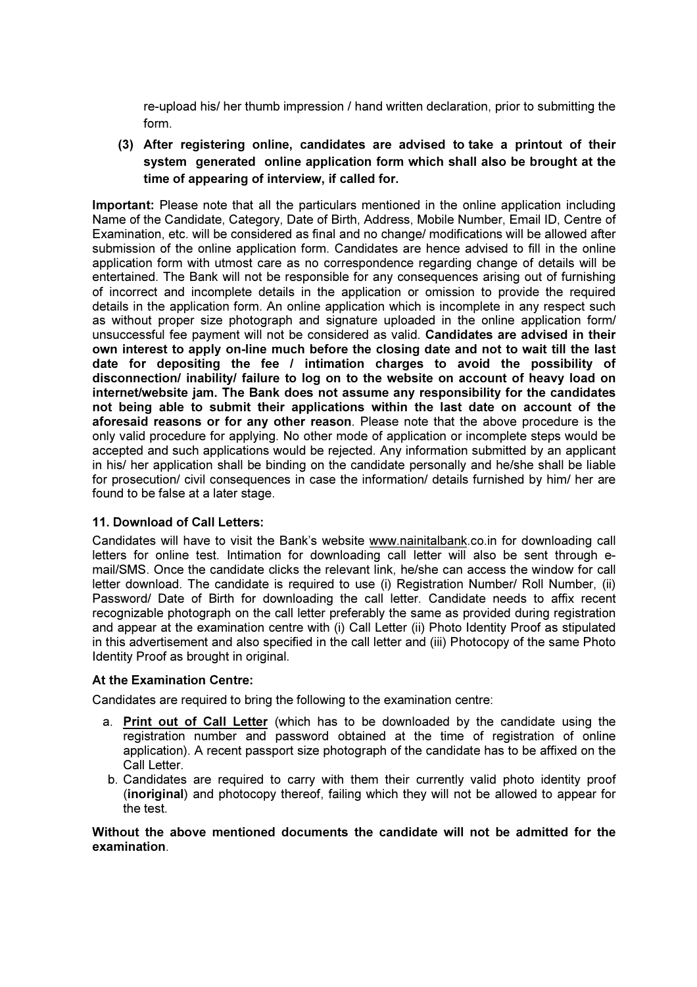re-upload his/ her thumb impression / hand written declaration, prior to submitting the form.

(3) After registering online, candidates are advised to take a printout of their system generated online application form which shall also be brought at the time of appearing of interview, if called for.

Important: Please note that all the particulars mentioned in the online application including Name of the Candidate, Category, Date of Birth, Address, Mobile Number, Email ID, Centre of Examination, etc. will be considered as final and no change/ modifications will be allowed after submission of the online application form. Candidates are hence advised to fill in the online application form with utmost care as no correspondence regarding change of details will be entertained. The Bank will not be responsible for any consequences arising out of furnishing of incorrect and incomplete details in the application or omission to provide the required details in the application form. An online application which is incomplete in any respect such as without proper size photograph and signature uploaded in the online application form/ unsuccessful fee payment will not be considered as valid. Candidates are advised in their own interest to apply on-line much before the closing date and not to wait till the last date for depositing the fee / intimation charges to avoid the possibility of disconnection/ inability/ failure to log on to the website on account of heavy load on internet/website jam. The Bank does not assume any responsibility for the candidates not being able to submit their applications within the last date on account of the aforesaid reasons or for any other reason. Please note that the above procedure is the only valid procedure for applying. No other mode of application or incomplete steps would be accepted and such applications would be rejected. Any information submitted by an applicant in his/ her application shall be binding on the candidate personally and he/she shall be liable for prosecution/ civil consequences in case the information/ details furnished by him/ her are found to be false at a later stage.

## 11. Download of Call Letters:

Candidates will have to visit the Bank's website www.nainitalbank.co.in for downloading call letters for online test. Intimation for downloading call letter will also be sent through email/SMS. Once the candidate clicks the relevant link, he/she can access the window for call letter download. The candidate is required to use (i) Registration Number/ Roll Number, (ii) Password/ Date of Birth for downloading the call letter. Candidate needs to affix recent recognizable photograph on the call letter preferably the same as provided during registration and appear at the examination centre with (i) Call Letter (ii) Photo Identity Proof as stipulated in this advertisement and also specified in the call letter and (iii) Photocopy of the same Photo Identity Proof as brought in original.

#### At the Examination Centre:

Candidates are required to bring the following to the examination centre:

- a. Print out of Call Letter (which has to be downloaded by the candidate using the registration number and password obtained at the time of registration of online application). A recent passport size photograph of the candidate has to be affixed on the Call Letter
- b. Candidates are required to carry with them their currently valid photo identity proof (inoriginal) and photocopy thereof, failing which they will not be allowed to appear for the test.

Without the above mentioned documents the candidate will not be admitted for the examination.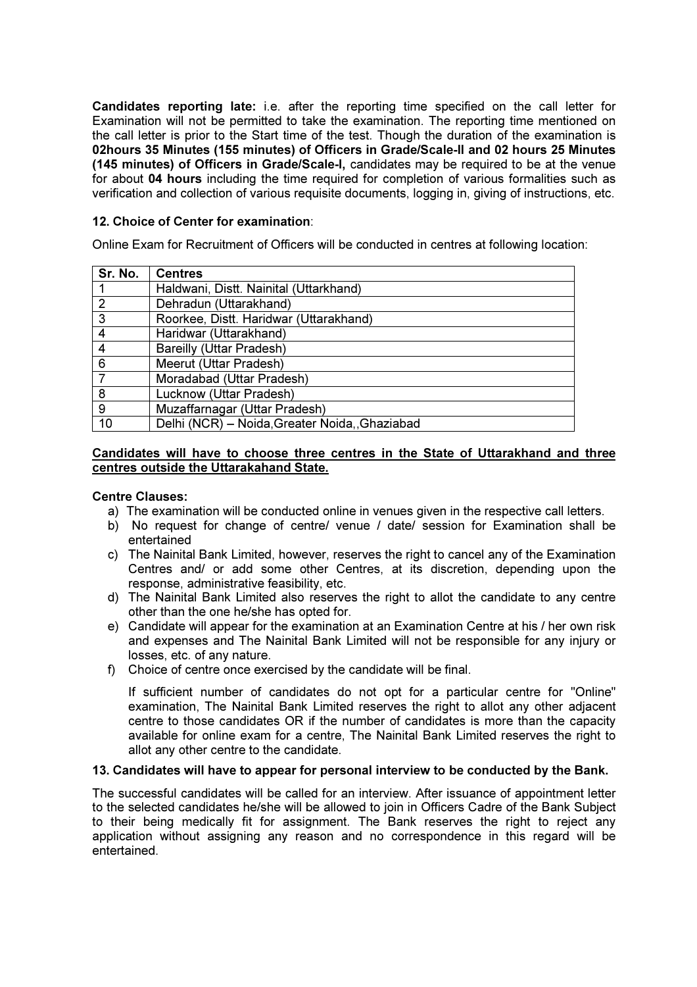Candidates reporting late: i.e. after the reporting time specified on the call letter for Examination will not be permitted to take the examination. The reporting time mentioned on the call letter is prior to the Start time of the test. Though the duration of the examination is 02hours 35 Minutes (155 minutes) of Officers in Grade/Scale-II and 02 hours 25 Minutes (145 minutes) of Officers in Grade/Scale-I, candidates may be required to be at the venue for about 04 hours including the time required for completion of various formalities such as verification and collection of various requisite documents, logging in, giving of instructions, etc.

#### 12. Choice of Center for examination:

Online Exam for Recruitment of Officers will be conducted in centres at following location:

| Sr. No.        | <b>Centres</b>                                |
|----------------|-----------------------------------------------|
|                | Haldwani, Distt. Nainital (Uttarkhand)        |
| $\overline{2}$ | Dehradun (Uttarakhand)                        |
| 3              | Roorkee, Distt. Haridwar (Uttarakhand)        |
| 4              | Haridwar (Uttarakhand)                        |
| 4              | <b>Bareilly (Uttar Pradesh)</b>               |
| 6              | Meerut (Uttar Pradesh)                        |
| $\overline{7}$ | Moradabad (Uttar Pradesh)                     |
| 8              | Lucknow (Uttar Pradesh)                       |
| 9              | Muzaffarnagar (Uttar Pradesh)                 |
| 10             | Delhi (NCR) - Noida, Greater Noida, Ghaziabad |

#### Candidates will have to choose three centres in the State of Uttarakhand and three centres outside the Uttarakahand State.

#### Centre Clauses:

- a) The examination will be conducted online in venues given in the respective call letters.
- b) No request for change of centre/ venue / date/ session for Examination shall be entertained
- c) The Nainital Bank Limited, however, reserves the right to cancel any of the Examination Centres and/ or add some other Centres, at its discretion, depending upon the response, administrative feasibility, etc.
- d) The Nainital Bank Limited also reserves the right to allot the candidate to any centre other than the one he/she has opted for.
- e) Candidate will appear for the examination at an Examination Centre at his / her own risk and expenses and The Nainital Bank Limited will not be responsible for any injury or losses, etc. of any nature.
- f) Choice of centre once exercised by the candidate will be final.

If sufficient number of candidates do not opt for a particular centre for "Online" examination, The Nainital Bank Limited reserves the right to allot any other adjacent centre to those candidates OR if the number of candidates is more than the capacity available for online exam for a centre, The Nainital Bank Limited reserves the right to allot any other centre to the candidate.

#### 13. Candidates will have to appear for personal interview to be conducted by the Bank.

The successful candidates will be called for an interview. After issuance of appointment letter to the selected candidates he/she will be allowed to join in Officers Cadre of the Bank Subject to their being medically fit for assignment. The Bank reserves the right to reject any application without assigning any reason and no correspondence in this regard will be entertained.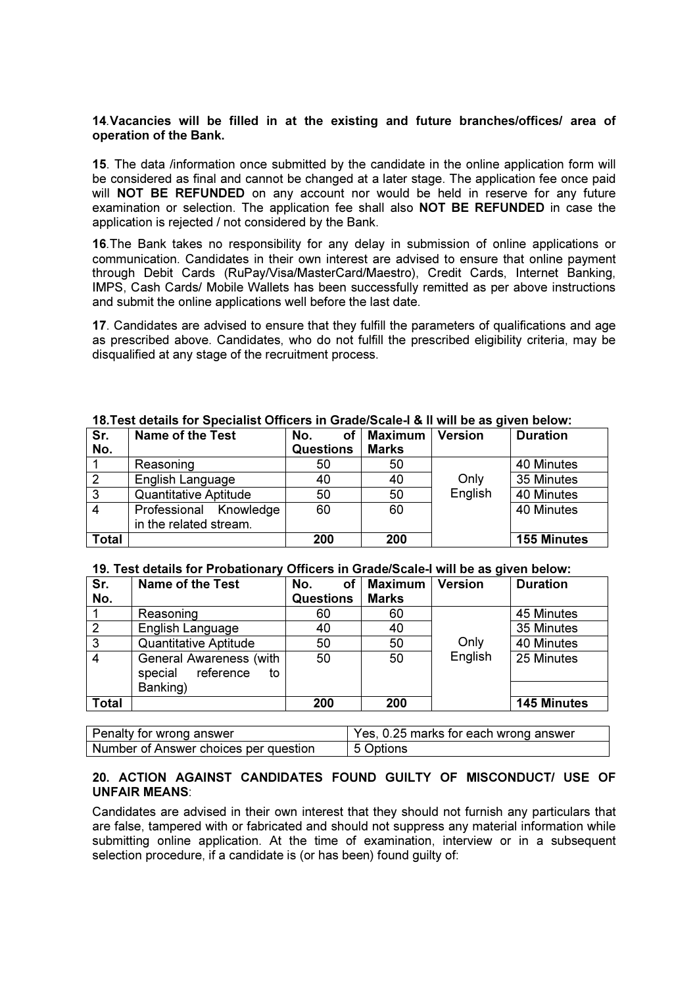#### 14.Vacancies will be filled in at the existing and future branches/offices/ area of operation of the Bank.

15. The data /information once submitted by the candidate in the online application form will be considered as final and cannot be changed at a later stage. The application fee once paid will **NOT BE REFUNDED** on any account nor would be held in reserve for any future examination or selection. The application fee shall also NOT BE REFUNDED in case the application is rejected / not considered by the Bank.

16.The Bank takes no responsibility for any delay in submission of online applications or communication. Candidates in their own interest are advised to ensure that online payment through Debit Cards (RuPay/Visa/MasterCard/Maestro), Credit Cards, Internet Banking, IMPS, Cash Cards/ Mobile Wallets has been successfully remitted as per above instructions and submit the online applications well before the last date.

17. Candidates are advised to ensure that they fulfill the parameters of qualifications and age as prescribed above. Candidates, who do not fulfill the prescribed eligibility criteria, may be disqualified at any stage of the recruitment process.

| Sr.            | <b>Name of the Test</b>      | No.<br>οf        | <b>Maximum</b> | <b>Version</b> | <b>Duration</b>    |
|----------------|------------------------------|------------------|----------------|----------------|--------------------|
| No.            |                              | <b>Questions</b> | <b>Marks</b>   |                |                    |
|                | Reasoning                    | 50               | 50             |                | 40 Minutes         |
| $\overline{2}$ | English Language             | 40               | 40             | Only           | 35 Minutes         |
| $\mathbf{3}$   | <b>Quantitative Aptitude</b> | 50               | 50             | English        | 40 Minutes         |
| $\overline{4}$ | Professional Knowledge       | 60               | 60             |                | 40 Minutes         |
|                | in the related stream.       |                  |                |                |                    |
| <b>Total</b>   |                              | 200              | 200            |                | <b>155 Minutes</b> |

#### 18.Test details for Specialist Officers in Grade/Scale-I & II will be as given below:

#### 19. Test details for Probationary Officers in Grade/Scale-I will be as given below:

| Sr.            | <b>Name of the Test</b>                                                  | No.<br>οf        | <b>Maximum</b> | <b>Version</b> | <b>Duration</b>    |
|----------------|--------------------------------------------------------------------------|------------------|----------------|----------------|--------------------|
| No.            |                                                                          | <b>Questions</b> | <b>Marks</b>   |                |                    |
|                | Reasoning                                                                | 60               | 60             |                | 45 Minutes         |
| $\overline{2}$ | English Language                                                         | 40               | 40             |                | 35 Minutes         |
| $\overline{3}$ | <b>Quantitative Aptitude</b>                                             | 50               | 50             | Only           | 40 Minutes         |
| $\overline{4}$ | <b>General Awareness (with</b><br>special<br>reference<br>to<br>Banking) | 50               | 50             | English        | 25 Minutes         |
| <b>Total</b>   |                                                                          | 200              | 200            |                | <b>145 Minutes</b> |

| Penalty for wrong answer              | Yes, 0.25 marks for each wrong answer |
|---------------------------------------|---------------------------------------|
| Number of Answer choices per question | 5 Options                             |

## 20. ACTION AGAINST CANDIDATES FOUND GUILTY OF MISCONDUCT/ USE OF UNFAIR MEANS:

Candidates are advised in their own interest that they should not furnish any particulars that are false, tampered with or fabricated and should not suppress any material information while submitting online application. At the time of examination, interview or in a subsequent selection procedure, if a candidate is (or has been) found quilty of: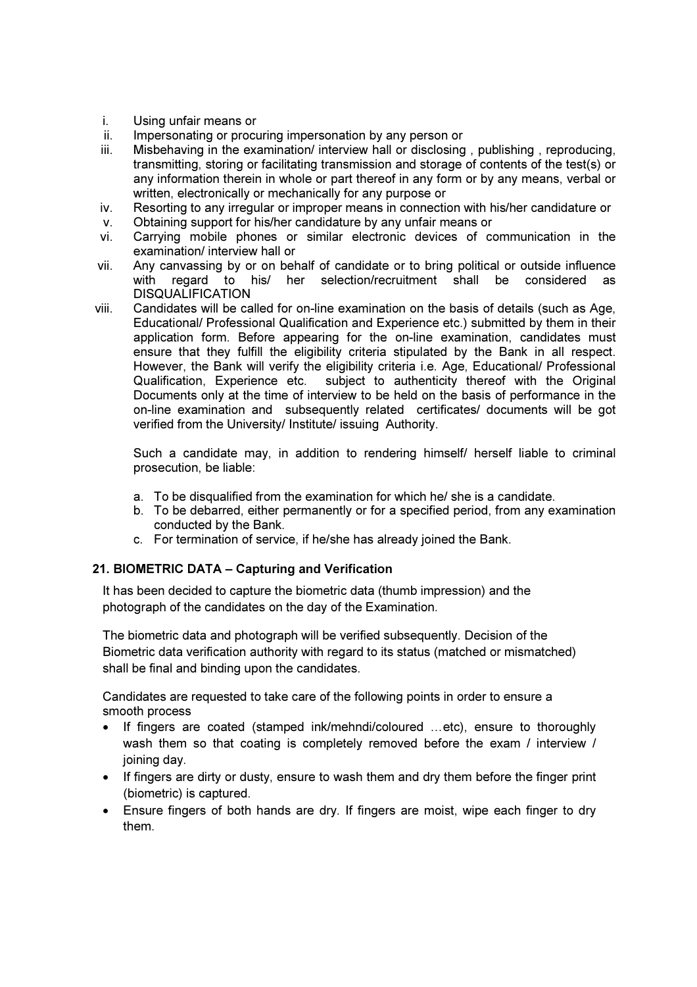- i. Using unfair means or
- ii. Impersonating or procuring impersonation by any person or
- iii. Misbehaving in the examination/ interview hall or disclosing , publishing , reproducing, transmitting, storing or facilitating transmission and storage of contents of the test(s) or any information therein in whole or part thereof in any form or by any means, verbal or written, electronically or mechanically for any purpose or
- iv. Resorting to any irregular or improper means in connection with his/her candidature or v. Obtaining support for his/her candidature by any unfair means or
- vi. Carrying mobile phones or similar electronic devices of communication in the examination/ interview hall or
- vii. Any canvassing by or on behalf of candidate or to bring political or outside influence with regard to his/ her selection/recruitment shall be considered DISQUALIFICATION
- viii. Candidates will be called for on-line examination on the basis of details (such as Age, Educational/ Professional Qualification and Experience etc.) submitted by them in their application form. Before appearing for the on-line examination, candidates must ensure that they fulfill the eligibility criteria stipulated by the Bank in all respect. However, the Bank will verify the eligibility criteria i.e. Age, Educational/ Professional Qualification, Experience etc. subject to authenticity thereof with the Original Documents only at the time of interview to be held on the basis of performance in the on-line examination and subsequently related certificates/ documents will be got verified from the University/ Institute/ issuing Authority.

Such a candidate may, in addition to rendering himself/ herself liable to criminal prosecution, be liable:

- a. To be disqualified from the examination for which he/ she is a candidate.
- b. To be debarred, either permanently or for a specified period, from any examination conducted by the Bank.
- c. For termination of service, if he/she has already joined the Bank.

## 21. BIOMETRIC DATA – Capturing and Verification

It has been decided to capture the biometric data (thumb impression) and the photograph of the candidates on the day of the Examination.

The biometric data and photograph will be verified subsequently. Decision of the Biometric data verification authority with regard to its status (matched or mismatched) shall be final and binding upon the candidates.

Candidates are requested to take care of the following points in order to ensure a smooth process

- If fingers are coated (stamped ink/mehndi/coloured …etc), ensure to thoroughly wash them so that coating is completely removed before the exam / interview / joining day.
- If fingers are dirty or dusty, ensure to wash them and dry them before the finger print (biometric) is captured.
- Ensure fingers of both hands are dry. If fingers are moist, wipe each finger to dry them.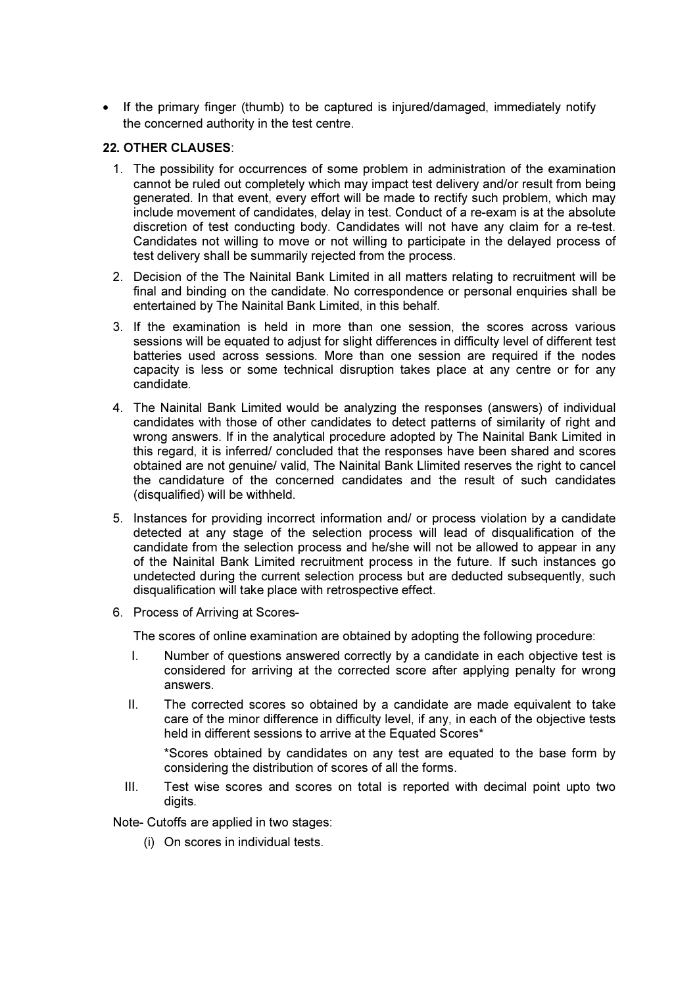• If the primary finger (thumb) to be captured is injured/damaged, immediately notify the concerned authority in the test centre.

## 22. OTHER CLAUSES:

- 1. The possibility for occurrences of some problem in administration of the examination cannot be ruled out completely which may impact test delivery and/or result from being generated. In that event, every effort will be made to rectify such problem, which may include movement of candidates, delay in test. Conduct of a re-exam is at the absolute discretion of test conducting body. Candidates will not have any claim for a re-test. Candidates not willing to move or not willing to participate in the delayed process of test delivery shall be summarily rejected from the process.
- 2. Decision of the The Nainital Bank Limited in all matters relating to recruitment will be final and binding on the candidate. No correspondence or personal enquiries shall be entertained by The Nainital Bank Limited, in this behalf.
- 3. If the examination is held in more than one session, the scores across various sessions will be equated to adjust for slight differences in difficulty level of different test batteries used across sessions. More than one session are required if the nodes capacity is less or some technical disruption takes place at any centre or for any candidate.
- 4. The Nainital Bank Limited would be analyzing the responses (answers) of individual candidates with those of other candidates to detect patterns of similarity of right and wrong answers. If in the analytical procedure adopted by The Nainital Bank Limited in this regard, it is inferred/ concluded that the responses have been shared and scores obtained are not genuine/ valid, The Nainital Bank Llimited reserves the right to cancel the candidature of the concerned candidates and the result of such candidates (disqualified) will be withheld.
- 5. Instances for providing incorrect information and/ or process violation by a candidate detected at any stage of the selection process will lead of disqualification of the candidate from the selection process and he/she will not be allowed to appear in any of the Nainital Bank Limited recruitment process in the future. If such instances go undetected during the current selection process but are deducted subsequently, such disqualification will take place with retrospective effect.
- 6. Process of Arriving at Scores-

The scores of online examination are obtained by adopting the following procedure:

- I. Number of questions answered correctly by a candidate in each objective test is considered for arriving at the corrected score after applying penalty for wrong answers.
- II. The corrected scores so obtained by a candidate are made equivalent to take care of the minor difference in difficulty level, if any, in each of the objective tests held in different sessions to arrive at the Equated Scores\*

\*Scores obtained by candidates on any test are equated to the base form by considering the distribution of scores of all the forms.

III. Test wise scores and scores on total is reported with decimal point upto two digits.

Note- Cutoffs are applied in two stages:

(i) On scores in individual tests.